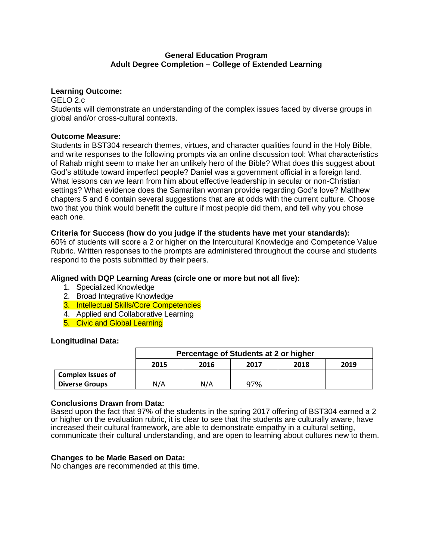### **General Education Program Adult Degree Completion – College of Extended Learning**

#### **Learning Outcome:**

GELO 2.c

Students will demonstrate an understanding of the complex issues faced by diverse groups in global and/or cross-cultural contexts.

#### **Outcome Measure:**

Students in BST304 research themes, virtues, and character qualities found in the Holy Bible, and write responses to the following prompts via an online discussion tool: What characteristics of Rahab might seem to make her an unlikely hero of the Bible? What does this suggest about God's attitude toward imperfect people? Daniel was a government official in a foreign land. What lessons can we learn from him about effective leadership in secular or non-Christian settings? What evidence does the Samaritan woman provide regarding God's love? Matthew chapters 5 and 6 contain several suggestions that are at odds with the current culture. Choose two that you think would benefit the culture if most people did them, and tell why you chose each one.

#### **Criteria for Success (how do you judge if the students have met your standards):**

60% of students will score a 2 or higher on the Intercultural Knowledge and Competence Value Rubric. Written responses to the prompts are administered throughout the course and students respond to the posts submitted by their peers.

#### **Aligned with DQP Learning Areas (circle one or more but not all five):**

- 1. Specialized Knowledge
- 2. Broad Integrative Knowledge
- 3. Intellectual Skills/Core Competencies
- 4. Applied and Collaborative Learning
- 5. Civic and Global Learning

#### **Longitudinal Data:**

|                          | Percentage of Students at 2 or higher |      |      |      |      |  |
|--------------------------|---------------------------------------|------|------|------|------|--|
|                          | 2015                                  | 2016 | 2017 | 2018 | 2019 |  |
| <b>Complex Issues of</b> |                                       |      |      |      |      |  |
| <b>Diverse Groups</b>    | N/A                                   | N/A  | 97%  |      |      |  |

#### **Conclusions Drawn from Data:**

Based upon the fact that 97% of the students in the spring 2017 offering of BST304 earned a 2 or higher on the evaluation rubric, it is clear to see that the students are culturally aware, have increased their cultural framework, are able to demonstrate empathy in a cultural setting, communicate their cultural understanding, and are open to learning about cultures new to them.

#### **Changes to be Made Based on Data:**

No changes are recommended at this time.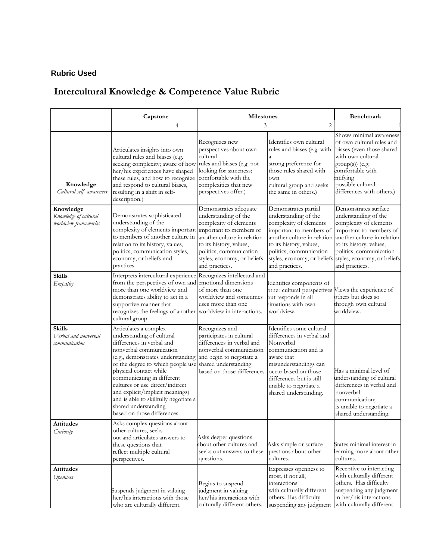## **Rubric Used**

# **Intercultural Knowledge & Competence Value Rubric**

|                                                            | Capstone<br>4                                                                                                                                                                                                                                                                                                                                                                                                      | <b>Milestones</b><br>3<br>2                                                                                                                                                                                                              |                                                                                                                                                                                                                                         | Benchmark                                                                                                                                                                                                                               |
|------------------------------------------------------------|--------------------------------------------------------------------------------------------------------------------------------------------------------------------------------------------------------------------------------------------------------------------------------------------------------------------------------------------------------------------------------------------------------------------|------------------------------------------------------------------------------------------------------------------------------------------------------------------------------------------------------------------------------------------|-----------------------------------------------------------------------------------------------------------------------------------------------------------------------------------------------------------------------------------------|-----------------------------------------------------------------------------------------------------------------------------------------------------------------------------------------------------------------------------------------|
| Knowledge<br>Cultural self- awareness                      | Articulates insights into own<br>cultural rules and biases (e.g.<br>seeking complexity; aware of how<br>her/his experiences have shaped<br>these rules, and how to recognize<br>and respond to cultural biases,<br>resulting in a shift in self-<br>description.)                                                                                                                                                  | Recognizes new<br>perspectives about own<br>cultural<br>rules and biases (e.g. not<br>looking for sameness;<br>comfortable with the<br>complexities that new<br>perspectives offer.)                                                     | Identifies own cultural<br>rules and biases (e.g. with<br>a<br>strong preference for<br>those rules shared with<br>own<br>cultural group and seeks<br>the same in others.)                                                              | Shows minimal awareness<br>of own cultural rules and<br>biases (even those shared<br>with own cultural<br>$group(s))$ (e.g.<br>comfortable with<br>ntifying<br>possible cultural<br>differences with others.)                           |
| Knowledge<br>Knowledge of cultural<br>worldview frameworks | Demonstrates sophisticated<br>understanding of the<br>complexity of elements important<br>to members of another culture in<br>relation to its history, values,<br>politics, communication styles,<br>economy, or beliefs and<br>practices.                                                                                                                                                                         | Demonstrates adequate<br>understanding of the<br>complexity of elements<br>important to members of<br>another culture in relation<br>to its history, values,<br>politics, communication<br>styles, economy, or beliefs<br>and practices. | Demonstrates partial<br>understanding of the<br>complexity of elements<br>important to members of<br>another culture in relation<br>to its history, values,<br>politics, communication<br>styles, economy, or beliefs<br>and practices. | Demonstrates surface<br>understanding of the<br>complexity of elements<br>important to members of<br>another culture in relation<br>to its history, values,<br>politics, communication<br>styles, economy, or beliefs<br>and practices. |
| <b>Skills</b><br>Empathy                                   | Interprets intercultural experience<br>from the perspectives of own and<br>more than one worldview and<br>demonstrates ability to act in a<br>supportive manner that<br>recognizes the feelings of another worldview in interactions.<br>cultural group.                                                                                                                                                           | Recognizes intellectual and<br>emotional dimensions<br>of more than one<br>worldview and sometimes<br>uses more than one                                                                                                                 | Identifies components of<br>other cultural perspectives Views the experience of<br>but responds in all<br>situations with own<br>worldview.                                                                                             | others but does so<br>through own cultural<br>worldview.                                                                                                                                                                                |
| <b>Skills</b><br>Verbal and nonverbal<br>communication     | Articulates a complex<br>understanding of cultural<br>differences in verbal and<br>nonverbal communication<br>(e.g., demonstrates understanding<br>of the degree to which people use<br>physical contact while<br>communicating in different<br>cultures or use direct/indirect<br>and explicit/implicit meanings)<br>and is able to skillfully negotiate a<br>shared understanding<br>based on those differences. | Recognizes and<br>participates in cultural<br>differences in verbal and<br>nonverbal communication<br>and begin to negotiate a<br>shared understanding<br>based on those differences.                                                    | Identifies some cultural<br>differences in verbal and<br>Nonverbal<br>communication and is<br>aware that<br>misunderstandings can<br>occur based on those<br>differences but is still<br>unable to negotiate a<br>shared understanding. | Has a minimal level of<br>understanding of cultural<br>differences in verbal and<br>nonverbal<br>communication;<br>is unable to negotiate a<br>shared understanding.                                                                    |
| <b>Attitudes</b><br>Curiosity                              | Asks complex questions about<br>other cultures, seeks<br>out and articulates answers to<br>these questions that<br>reflect multiple cultural<br>perspectives.                                                                                                                                                                                                                                                      | Asks deeper questions<br>about other cultures and<br>seeks out answers to these<br>questions.                                                                                                                                            | Asks simple or surface<br>questions about other<br>cultures.                                                                                                                                                                            | States minimal interest in<br>learning more about other<br>cultures.                                                                                                                                                                    |
| Attitudes<br>Openness                                      | Suspends judgment in valuing<br>her/his interactions with those<br>who are culturally different.                                                                                                                                                                                                                                                                                                                   | Begins to suspend<br>judgment in valuing<br>her/his interactions with<br>culturally different others.                                                                                                                                    | Expresses openness to<br>most, if not all,<br>interactions<br>with culturally different<br>others. Has difficulty<br>suspending any judgment with culturally different                                                                  | Receptive to interacting<br>with culturally different<br>others. Has difficulty<br>suspending any judgment<br>in her/his interactions                                                                                                   |